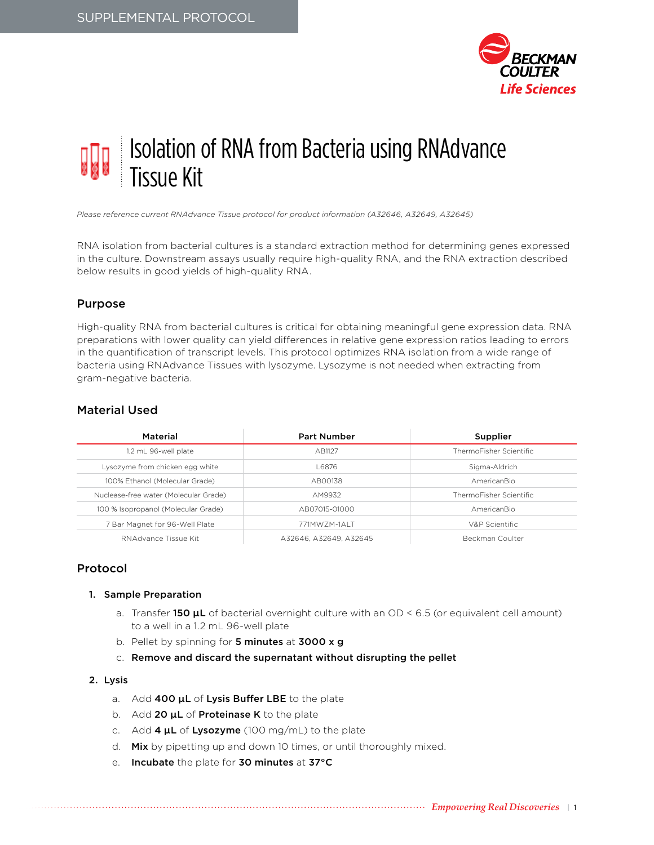

# Isolation of RNA from Bacteria using RNAdvance Tissue Kit

*Please reference current RNAdvance Tissue protocol for product information (A32646, A32649, A32645)*

RNA isolation from bacterial cultures is a standard extraction method for determining genes expressed in the culture. Downstream assays usually require high-quality RNA, and the RNA extraction described below results in good yields of high-quality RNA.

## Purpose

High-quality RNA from bacterial cultures is critical for obtaining meaningful gene expression data. RNA preparations with lower quality can yield differences in relative gene expression ratios leading to errors in the quantification of transcript levels. This protocol optimizes RNA isolation from a wide range of bacteria using RNAdvance Tissues with lysozyme. Lysozyme is not needed when extracting from gram-negative bacteria.

# Material Used

| Material                              | <b>Part Number</b>     | Supplier                |
|---------------------------------------|------------------------|-------------------------|
| 1.2 mL 96-well plate                  | AB1127                 | ThermoFisher Scientific |
| Lysozyme from chicken egg white       | L6876                  | Sigma-Aldrich           |
| 100% Ethanol (Molecular Grade)        | AB00138                | AmericanBio             |
| Nuclease-free water (Molecular Grade) | AM9932                 | ThermoFisher Scientific |
| 100 % Isopropanol (Molecular Grade)   | AB07015-01000          | AmericanBio             |
| 7 Bar Magnet for 96-Well Plate        | 771MWZM-1ALT           | V&P Scientific          |
| RNAdvance Tissue Kit                  | A32646, A32649, A32645 | Beckman Coulter         |

## Protocol

#### 1. Sample Preparation

- a. Transfer 150  $\mu$ L of bacterial overnight culture with an OD < 6.5 (or equivalent cell amount) to a well in a 1.2 mL 96-well plate
- b. Pellet by spinning for 5 minutes at 3000 x g
- c. Remove and discard the supernatant without disrupting the pellet

#### 2. Lysis

- a. Add 400  $\mu$ L of Lysis Buffer LBE to the plate
- b. Add 20  $\mu$ L of Proteinase K to the plate
- c. Add  $4 \mu L$  of Lysozyme (100 mg/mL) to the plate
- d. Mix by pipetting up and down 10 times, or until thoroughly mixed.
- e. Incubate the plate for 30 minutes at 37°C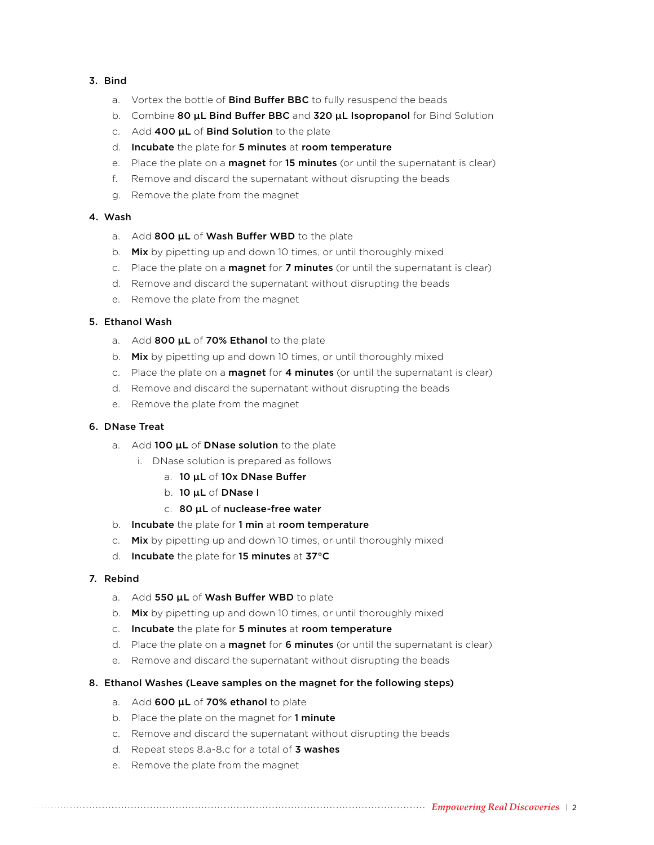#### 3. Bind

- a. Vortex the bottle of **Bind Buffer BBC** to fully resuspend the beads
- b. Combine 80  $\mu$ L Bind Buffer BBC and 320  $\mu$ L Isopropanol for Bind Solution
- c. Add 400  $\mu$ L of Bind Solution to the plate
- d. Incubate the plate for 5 minutes at room temperature
- e. Place the plate on a **magnet** for **15 minutes** (or until the supernatant is clear)
- f. Remove and discard the supernatant without disrupting the beads
- g. Remove the plate from the magnet

#### 4. Wash

- a. Add 800 uL of Wash Buffer WBD to the plate
- b. Mix by pipetting up and down 10 times, or until thoroughly mixed
- c. Place the plate on a **magnet** for **7 minutes** (or until the supernatant is clear)
- d. Remove and discard the supernatant without disrupting the beads
- e. Remove the plate from the magnet

#### 5. Ethanol Wash

- a. Add 800  $\mu$ L of 70% Ethanol to the plate
- b. Mix by pipetting up and down 10 times, or until thoroughly mixed
- c. Place the plate on a **magnet** for  $4$  minutes (or until the supernatant is clear)
- d. Remove and discard the supernatant without disrupting the beads
- e. Remove the plate from the magnet

#### 6. DNase Treat

- a. Add 100 **uL** of **DNase solution** to the plate
	- i. DNase solution is prepared as follows
		- a. 10 uL of 10x DNase Buffer
		- b. 10 µL of DNase I
		- c. 80 µL of nuclease-free water
- b. Incubate the plate for 1 min at room temperature
- c. Mix by pipetting up and down 10 times, or until thoroughly mixed
- d. Incubate the plate for 15 minutes at 37°C

#### 7. Rebind

- a. Add 550  $\mu$ L of Wash Buffer WBD to plate
- b. Mix by pipetting up and down 10 times, or until thoroughly mixed
- c. Incubate the plate for 5 minutes at room temperature
- d. Place the plate on a **magnet** for 6 minutes (or until the supernatant is clear)
- e. Remove and discard the supernatant without disrupting the beads
- 8. Ethanol Washes (Leave samples on the magnet for the following steps)
	- a. Add 600 µL of 70% ethanol to plate
	- b. Place the plate on the magnet for 1 minute
	- c. Remove and discard the supernatant without disrupting the beads
	- d. Repeat steps 8.a-8.c for a total of **3 washes**
	- e. Remove the plate from the magnet